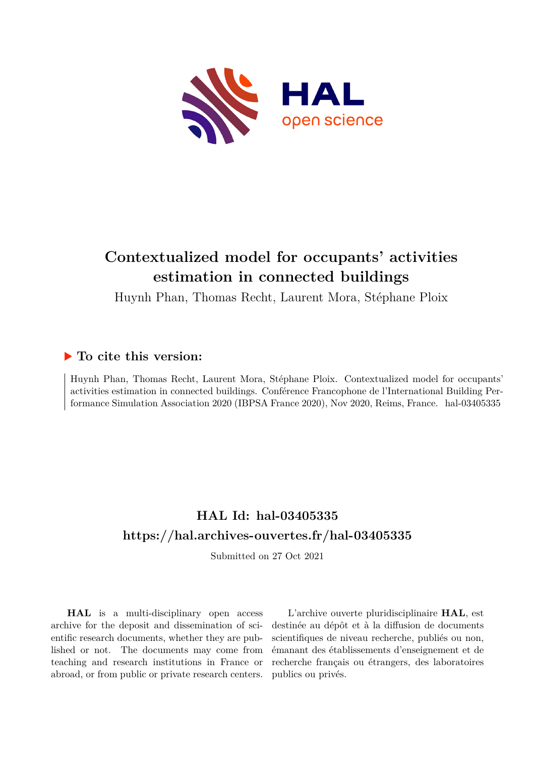

# **Contextualized model for occupants' activities estimation in connected buildings**

Huynh Phan, Thomas Recht, Laurent Mora, Stéphane Ploix

## **To cite this version:**

Huynh Phan, Thomas Recht, Laurent Mora, Stéphane Ploix. Contextualized model for occupants' activities estimation in connected buildings. Conférence Francophone de l'International Building Performance Simulation Association 2020 (IBPSA France 2020), Nov 2020, Reims, France. hal-03405335

## **HAL Id: hal-03405335 <https://hal.archives-ouvertes.fr/hal-03405335>**

Submitted on 27 Oct 2021

**HAL** is a multi-disciplinary open access archive for the deposit and dissemination of scientific research documents, whether they are published or not. The documents may come from teaching and research institutions in France or abroad, or from public or private research centers.

L'archive ouverte pluridisciplinaire **HAL**, est destinée au dépôt et à la diffusion de documents scientifiques de niveau recherche, publiés ou non, émanant des établissements d'enseignement et de recherche français ou étrangers, des laboratoires publics ou privés.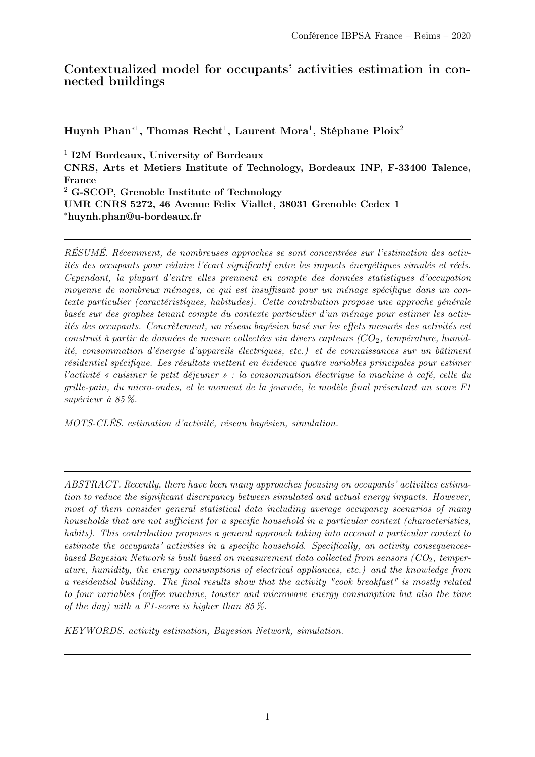## Contextualized model for occupants' activities estimation in connected buildings

Huynh Phan<sup>∗1</sup>, Thomas Recht<sup>1</sup>, Laurent Mora<sup>1</sup>, Stéphane Ploix<sup>2</sup>

<sup>1</sup> I2M Bordeaux, University of Bordeaux CNRS, Arts et Metiers Institute of Technology, Bordeaux INP, F-33400 Talence, France <sup>2</sup> G-SCOP, Grenoble Institute of Technology UMR CNRS 5272, 46 Avenue Felix Viallet, 38031 Grenoble Cedex 1 <sup>∗</sup>huynh.phan@u-bordeaux.fr

RÉSUMÉ. Récemment, de nombreuses approches se sont concentrées sur l'estimation des activités des occupants pour réduire l'écart significatif entre les impacts énergétiques simulés et réels. Cependant, la plupart d'entre elles prennent en compte des données statistiques d'occupation moyenne de nombreux ménages, ce qui est insuffisant pour un ménage spécifique dans un contexte particulier (caractéristiques, habitudes). Cette contribution propose une approche générale basée sur des graphes tenant compte du contexte particulier d'un ménage pour estimer les activités des occupants. Concrètement, un réseau bayésien basé sur les effets mesurés des activités est construit à partir de données de mesure collectées via divers capteurs  $(CO_2, température, humid$ ité, consommation d'énergie d'appareils électriques, etc.) et de connaissances sur un bâtiment résidentiel spécifique. Les résultats mettent en évidence quatre variables principales pour estimer l'activité « cuisiner le petit déjeuner » : la consommation électrique la machine à café, celle du grille-pain, du micro-ondes, et le moment de la journée, le modèle final présentant un score F1 supérieur à 85 %.

MOTS-CLÉS. estimation d'activité, réseau bayésien, simulation.

ABSTRACT. Recently, there have been many approaches focusing on occupants' activities estimation to reduce the significant discrepancy between simulated and actual energy impacts. However, most of them consider general statistical data including average occupancy scenarios of many households that are not sufficient for a specific household in a particular context (characteristics, habits). This contribution proposes a general approach taking into account a particular context to estimate the occupants' activities in a specific household. Specifically, an activity consequencesbased Bayesian Network is built based on measurement data collected from sensors  $(CO<sub>2</sub>,$  temperature, humidity, the energy consumptions of electrical appliances, etc.) and the knowledge from a residential building. The final results show that the activity "cook breakfast" is mostly related to four variables (coffee machine, toaster and microwave energy consumption but also the time of the day) with a F1-score is higher than  $85\%$ .

KEYWORDS. activity estimation, Bayesian Network, simulation.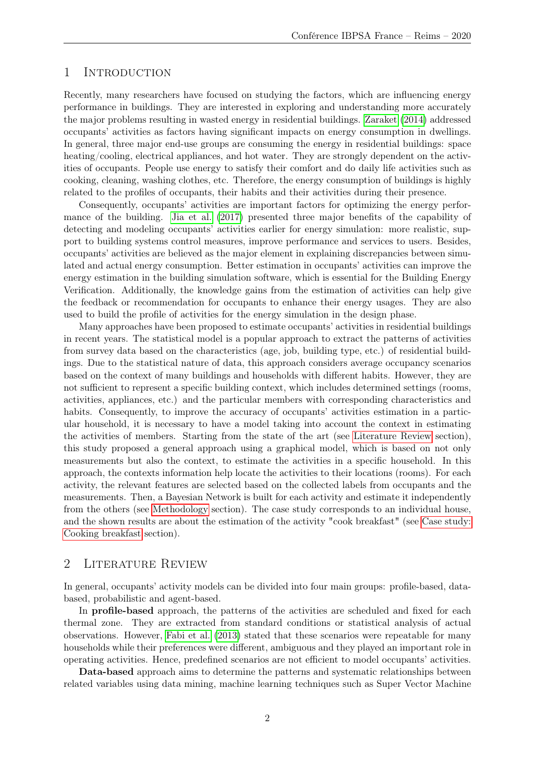#### 1 Introduction

Recently, many researchers have focused on studying the factors, which are influencing energy performance in buildings. They are interested in exploring and understanding more accurately the major problems resulting in wasted energy in residential buildings. Zaraket (2014) addressed occupants' activities as factors having significant impacts on energy consumption in dwellings. In general, three major end-use groups are consuming the energy in residential buildings: space heating/cooling, electrical appliances, and hot water. They are strongly dependent on the activities of occupants. People use energy to satisfy their comfort and do daily life activities such as cooking, cleaning, washing clothes, etc. Therefore, the energy consumption of buildings is highly related to the profiles of occupants, their habits and their activities during their presence.

Consequently, occupants' activities are important factors for optimizing the energy performance of the building. Jia et al. (2017) presented three major benefits of the capability of detecting and modeling occupants' activities earlier for energy simulation: more realistic, support to building systems control measures, improve performance and services to users. Besides, occupants' activities are believed as the major element in explaining discrepancies between simulated and actual energy consumption. Better estimation in occupants' activities can improve the energy estimation in the building simulation software, which is essential for the Building Energy Verification. Additionally, the knowledge gains from the estimation of activities can help give the feedback or recommendation for occupants to enhance their energy usages. They are also used to build the profile of activities for the energy simulation in the design phase.

Many approaches have been proposed to estimate occupants' activities in residential buildings in recent years. The statistical model is a popular approach to extract the patterns of activities from survey data based on the characteristics (age, job, building type, etc.) of residential buildings. Due to the statistical nature of data, this approach considers average occupancy scenarios based on the context of many buildings and households with different habits. However, they are not sufficient to represent a specific building context, which includes determined settings (rooms, activities, appliances, etc.) and the particular members with corresponding characteristics and habits. Consequently, to improve the accuracy of occupants' activities estimation in a particular household, it is necessary to have a model taking into account the context in estimating the activities of members. Starting from the state of the art (see Literature Review section), this study proposed a general approach using a graphical model, which is based on not only measurements but also the context, to estimate the activities in a specific household. In this approach, the contexts information help locate the activities to their locations (rooms). For each activity, the relevant features are selected based on the collected labels from occupants and the measurements. Then, a Bayesian Network is built for each activity and estimate it independently from the others (see Methodology section). The case study corresponds to an individual house, and the shown results are about the estimation of the activity "cook breakfast" (see Case study: Cooking breakfast section).

#### 2 LITERATURE REVIEW

In general, occupants' activity models can be divided into four main groups: profile-based, databased, probabilistic and agent-based.

In profile-based approach, the patterns of the activities are scheduled and fixed for each thermal zone. They are extracted from standard conditions or statistical analysis of actual observations. However, Fabi et al. (2013) stated that these scenarios were repeatable for many households while their preferences were different, ambiguous and they played an important role in operating activities. Hence, predefined scenarios are not efficient to model occupants' activities.

Data-based approach aims to determine the patterns and systematic relationships between related variables using data mining, machine learning techniques such as Super Vector Machine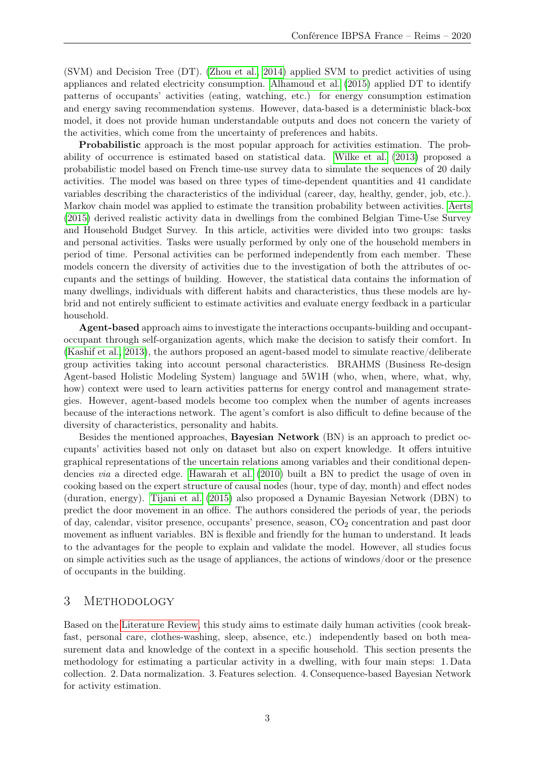(SVM) and Decision Tree (DT). (Zhou et al., 2014) applied SVM to predict activities of using appliances and related electricity consumption. Alhamoud et al. (2015) applied DT to identify patterns of occupants' activities (eating, watching, etc.) for energy consumption estimation and energy saving recommendation systems. However, data-based is a deterministic black-box model, it does not provide human understandable outputs and does not concern the variety of the activities, which come from the uncertainty of preferences and habits.

Probabilistic approach is the most popular approach for activities estimation. The probability of occurrence is estimated based on statistical data. Wilke et al. (2013) proposed a probabilistic model based on French time-use survey data to simulate the sequences of 20 daily activities. The model was based on three types of time-dependent quantities and 41 candidate variables describing the characteristics of the individual (career, day, healthy, gender, job, etc.). Markov chain model was applied to estimate the transition probability between activities. Aerts (2015) derived realistic activity data in dwellings from the combined Belgian Time-Use Survey and Household Budget Survey. In this article, activities were divided into two groups: tasks and personal activities. Tasks were usually performed by only one of the household members in period of time. Personal activities can be performed independently from each member. These models concern the diversity of activities due to the investigation of both the attributes of occupants and the settings of building. However, the statistical data contains the information of many dwellings, individuals with different habits and characteristics, thus these models are hybrid and not entirely sufficient to estimate activities and evaluate energy feedback in a particular household.

Agent-based approach aims to investigate the interactions occupants-building and occupantoccupant through self-organization agents, which make the decision to satisfy their comfort. In (Kashif et al., 2013), the authors proposed an agent-based model to simulate reactive/deliberate group activities taking into account personal characteristics. BRAHMS (Business Re-design Agent-based Holistic Modeling System) language and 5W1H (who, when, where, what, why, how) context were used to learn activities patterns for energy control and management strategies. However, agent-based models become too complex when the number of agents increases because of the interactions network. The agent's comfort is also difficult to define because of the diversity of characteristics, personality and habits.

Besides the mentioned approaches, Bayesian Network (BN) is an approach to predict occupants' activities based not only on dataset but also on expert knowledge. It offers intuitive graphical representations of the uncertain relations among variables and their conditional dependencies via a directed edge. Hawarah et al. (2010) built a BN to predict the usage of oven in cooking based on the expert structure of causal nodes (hour, type of day, month) and effect nodes (duration, energy). Tijani et al. (2015) also proposed a Dynamic Bayesian Network (DBN) to predict the door movement in an office. The authors considered the periods of year, the periods of day, calendar, visitor presence, occupants' presence, season,  $CO<sub>2</sub>$  concentration and past door movement as influent variables. BN is flexible and friendly for the human to understand. It leads to the advantages for the people to explain and validate the model. However, all studies focus on simple activities such as the usage of appliances, the actions of windows/door or the presence of occupants in the building.

#### 3 METHODOLOGY

Based on the Literature Review, this study aims to estimate daily human activities (cook breakfast, personal care, clothes-washing, sleep, absence, etc.) independently based on both measurement data and knowledge of the context in a specific household. This section presents the methodology for estimating a particular activity in a dwelling, with four main steps: 1. Data collection. 2. Data normalization. 3. Features selection. 4. Consequence-based Bayesian Network for activity estimation.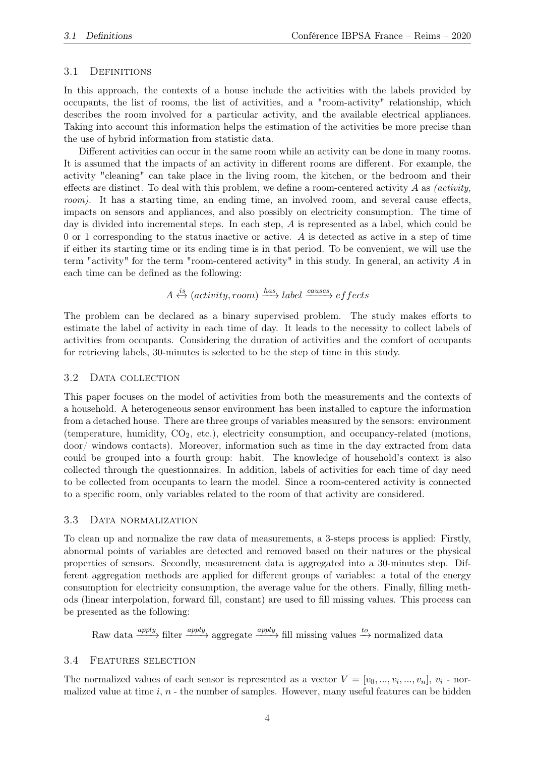#### 3.1 DEFINITIONS

In this approach, the contexts of a house include the activities with the labels provided by occupants, the list of rooms, the list of activities, and a "room-activity" relationship, which describes the room involved for a particular activity, and the available electrical appliances. Taking into account this information helps the estimation of the activities be more precise than the use of hybrid information from statistic data.

Different activities can occur in the same room while an activity can be done in many rooms. It is assumed that the impacts of an activity in different rooms are different. For example, the activity "cleaning" can take place in the living room, the kitchen, or the bedroom and their effects are distinct. To deal with this problem, we define a room-centered activity  $A$  as *(activity,* room). It has a starting time, an ending time, an involved room, and several cause effects, impacts on sensors and appliances, and also possibly on electricity consumption. The time of day is divided into incremental steps. In each step, A is represented as a label, which could be 0 or 1 corresponding to the status inactive or active. A is detected as active in a step of time if either its starting time or its ending time is in that period. To be convenient, we will use the term "activity" for the term "room-centered activity" in this study. In general, an activity  $A$  in each time can be defined as the following:

 $A \stackrel{is}{\leftrightarrow} (activity, room) \stackrel{has}{\longrightarrow} label \stackrel{causes}{\longrightarrow} effects$ 

The problem can be declared as a binary supervised problem. The study makes efforts to estimate the label of activity in each time of day. It leads to the necessity to collect labels of activities from occupants. Considering the duration of activities and the comfort of occupants for retrieving labels, 30-minutes is selected to be the step of time in this study.

#### 3.2 DATA COLLECTION

This paper focuses on the model of activities from both the measurements and the contexts of a household. A heterogeneous sensor environment has been installed to capture the information from a detached house. There are three groups of variables measured by the sensors: environment (temperature, humidity,  $CO<sub>2</sub>$ , etc.), electricity consumption, and occupancy-related (motions, door/ windows contacts). Moreover, information such as time in the day extracted from data could be grouped into a fourth group: habit. The knowledge of household's context is also collected through the questionnaires. In addition, labels of activities for each time of day need to be collected from occupants to learn the model. Since a room-centered activity is connected to a specific room, only variables related to the room of that activity are considered.

#### 3.3 Data normalization

To clean up and normalize the raw data of measurements, a 3-steps process is applied: Firstly, abnormal points of variables are detected and removed based on their natures or the physical properties of sensors. Secondly, measurement data is aggregated into a 30-minutes step. Different aggregation methods are applied for different groups of variables: a total of the energy consumption for electricity consumption, the average value for the others. Finally, filling methods (linear interpolation, forward fill, constant) are used to fill missing values. This process can be presented as the following:

Raw data  $\frac{apply}{p}$  filter  $\frac{apply}{p}$  aggregate  $\frac{apply}{p}$  fill missing values  $\stackrel{to}{\to}$  normalized data

#### 3.4 Features selection

The normalized values of each sensor is represented as a vector  $V = [v_0, ..., v_i, ..., v_n], v_i$  - normalized value at time  $i, n$  - the number of samples. However, many useful features can be hidden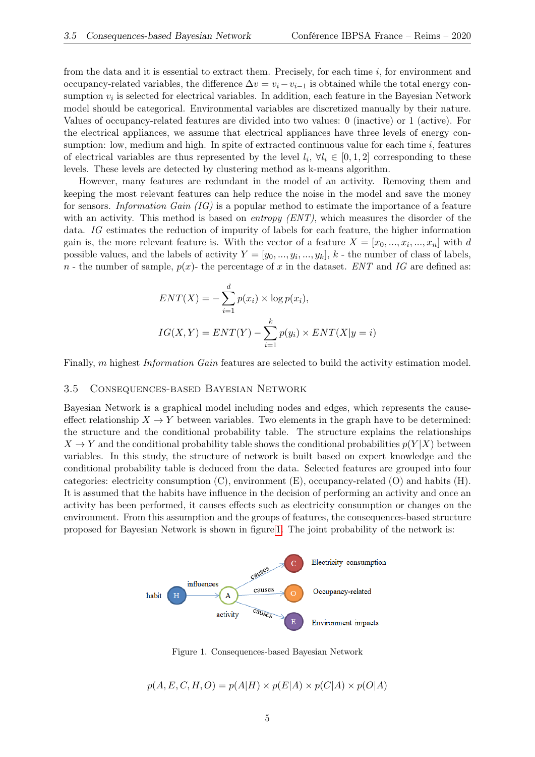from the data and it is essential to extract them. Precisely, for each time i, for environment and occupancy-related variables, the difference  $\Delta v = v_i - v_{i-1}$  is obtained while the total energy consumption  $v_i$  is selected for electrical variables. In addition, each feature in the Bayesian Network model should be categorical. Environmental variables are discretized manually by their nature. Values of occupancy-related features are divided into two values: 0 (inactive) or 1 (active). For the electrical appliances, we assume that electrical appliances have three levels of energy consumption: low, medium and high. In spite of extracted continuous value for each time  $i$ , features of electrical variables are thus represented by the level  $l_i, \forall l_i \in [0,1,2]$  corresponding to these levels. These levels are detected by clustering method as k-means algorithm.

However, many features are redundant in the model of an activity. Removing them and keeping the most relevant features can help reduce the noise in the model and save the money for sensors. Information Gain (IG) is a popular method to estimate the importance of a feature with an activity. This method is based on *entropy (ENT)*, which measures the disorder of the data. IG estimates the reduction of impurity of labels for each feature, the higher information gain is, the more relevant feature is. With the vector of a feature  $X = [x_0, ..., x_i, ..., x_n]$  with d possible values, and the labels of activity  $Y = [y_0, ..., y_i, ..., y_k], k$  - the number of class of labels, n - the number of sample,  $p(x)$ - the percentage of x in the dataset. ENT and IG are defined as:

$$
ENT(X) = -\sum_{i=1}^{d} p(x_i) \times \log p(x_i),
$$
  

$$
IG(X, Y) = ENT(Y) - \sum_{i=1}^{k} p(y_i) \times ENT(X|y = i)
$$

Finally, m highest *Information Gain* features are selected to build the activity estimation model.

#### 3.5 Consequences-based Bayesian Network

Bayesian Network is a graphical model including nodes and edges, which represents the causeeffect relationship  $X \to Y$  between variables. Two elements in the graph have to be determined: the structure and the conditional probability table. The structure explains the relationships  $X \to Y$  and the conditional probability table shows the conditional probabilities  $p(Y|X)$  between variables. In this study, the structure of network is built based on expert knowledge and the conditional probability table is deduced from the data. Selected features are grouped into four categories: electricity consumption  $(C)$ , environment  $(E)$ , occupancy-related  $(O)$  and habits  $(H)$ . It is assumed that the habits have influence in the decision of performing an activity and once an activity has been performed, it causes effects such as electricity consumption or changes on the environment. From this assumption and the groups of features, the consequences-based structure proposed for Bayesian Network is shown in figure 1. The joint probability of the network is:



Figure 1. Consequences-based Bayesian Network

 $p(A, E, C, H, O) = p(A|H) \times p(E|A) \times p(C|A) \times p(O|A)$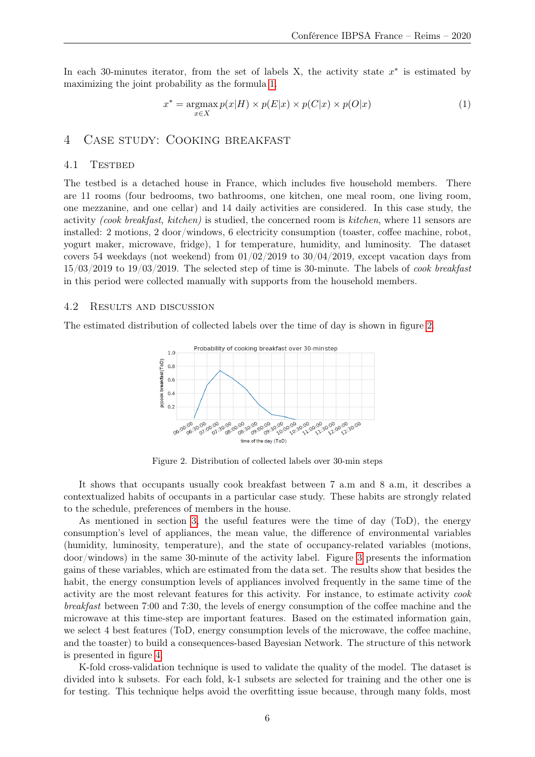In each 30-minutes iterator, from the set of labels X, the activity state  $x^*$  is estimated by maximizing the joint probability as the formula 1.

$$
x^* = \operatorname*{argmax}_{x \in X} p(x|H) \times p(E|x) \times p(C|x) \times p(O|x)
$$
\n(1)

#### 4 Case study: Cooking breakfast

#### 4.1 TESTBED

The testbed is a detached house in France, which includes five household members. There are 11 rooms (four bedrooms, two bathrooms, one kitchen, one meal room, one living room, one mezzanine, and one cellar) and 14 daily activities are considered. In this case study, the activity (cook breakfast, kitchen) is studied, the concerned room is kitchen, where 11 sensors are installed: 2 motions, 2 door/windows, 6 electricity consumption (toaster, coffee machine, robot, yogurt maker, microwave, fridge), 1 for temperature, humidity, and luminosity. The dataset covers 54 weekdays (not weekend) from  $01/02/2019$  to  $30/04/2019$ , except vacation days from  $15/03/2019$  to  $19/03/2019$ . The selected step of time is 30-minute. The labels of *cook breakfast* in this period were collected manually with supports from the household members.

#### 4.2 Results and discussion

The estimated distribution of collected labels over the time of day is shown in figure 2.



Figure 2. Distribution of collected labels over 30-min steps

It shows that occupants usually cook breakfast between 7 a.m and 8 a.m, it describes a contextualized habits of occupants in a particular case study. These habits are strongly related to the schedule, preferences of members in the house.

As mentioned in section 3, the useful features were the time of day (ToD), the energy consumption's level of appliances, the mean value, the difference of environmental variables (humidity, luminosity, temperature), and the state of occupancy-related variables (motions, door/windows) in the same 30-minute of the activity label. Figure 3 presents the information gains of these variables, which are estimated from the data set. The results show that besides the habit, the energy consumption levels of appliances involved frequently in the same time of the activity are the most relevant features for this activity. For instance, to estimate activity cook breakfast between 7:00 and 7:30, the levels of energy consumption of the coffee machine and the microwave at this time-step are important features. Based on the estimated information gain, we select 4 best features (ToD, energy consumption levels of the microwave, the coffee machine, and the toaster) to build a consequences-based Bayesian Network. The structure of this network is presented in figure 4.

K-fold cross-validation technique is used to validate the quality of the model. The dataset is divided into k subsets. For each fold, k-1 subsets are selected for training and the other one is for testing. This technique helps avoid the overfitting issue because, through many folds, most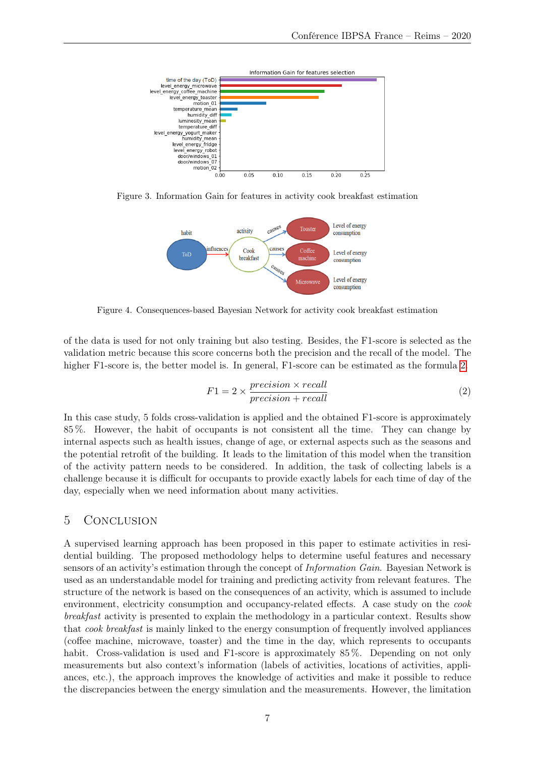

Figure 3. Information Gain for features in activity cook breakfast estimation



Figure 4. Consequences-based Bayesian Network for activity cook breakfast estimation

of the data is used for not only training but also testing. Besides, the F1-score is selected as the validation metric because this score concerns both the precision and the recall of the model. The higher F1-score is, the better model is. In general, F1-score can be estimated as the formula 2.

$$
F1 = 2 \times \frac{precision \times recall}{precision + recall}
$$
 (2)

In this case study, 5 folds cross-validation is applied and the obtained F1-score is approximately 85 %. However, the habit of occupants is not consistent all the time. They can change by internal aspects such as health issues, change of age, or external aspects such as the seasons and the potential retrofit of the building. It leads to the limitation of this model when the transition of the activity pattern needs to be considered. In addition, the task of collecting labels is a challenge because it is difficult for occupants to provide exactly labels for each time of day of the day, especially when we need information about many activities.

### 5 Conclusion

A supervised learning approach has been proposed in this paper to estimate activities in residential building. The proposed methodology helps to determine useful features and necessary sensors of an activity's estimation through the concept of Information Gain. Bayesian Network is used as an understandable model for training and predicting activity from relevant features. The structure of the network is based on the consequences of an activity, which is assumed to include environment, electricity consumption and occupancy-related effects. A case study on the cook breakfast activity is presented to explain the methodology in a particular context. Results show that cook breakfast is mainly linked to the energy consumption of frequently involved appliances (coffee machine, microwave, toaster) and the time in the day, which represents to occupants habit. Cross-validation is used and F1-score is approximately 85%. Depending on not only measurements but also context's information (labels of activities, locations of activities, appliances, etc.), the approach improves the knowledge of activities and make it possible to reduce the discrepancies between the energy simulation and the measurements. However, the limitation